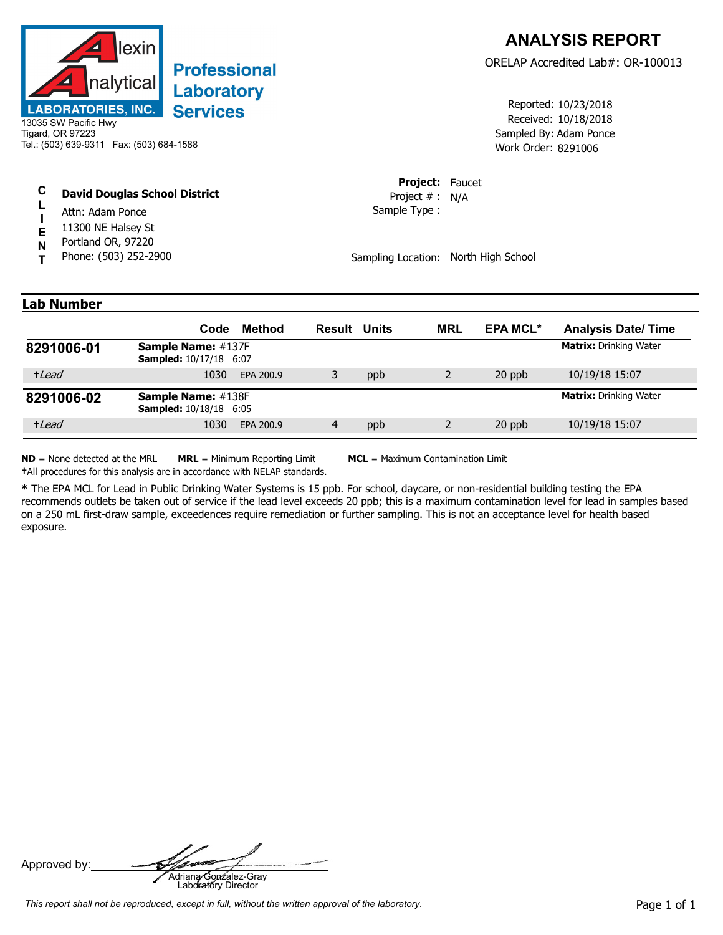

## **Professional** Laboratory **Services**

13035 SW Pacific Hwy Tigard, OR 97223 Tel.: (503) 639-9311 Fax: (503) 684-1588

## **C David Douglas School District**

- **L I** Attn: Adam Ponce
- **E** 11300 NE Halsey St
- **N** Portland OR, 97220
- **T** Phone: (503) 252-2900

Received: 10/18/2018 Work Order: 8291006 Reported: 10/23/2018 Sampled By: Adam Ponce

**Project:** Faucet Sample Type : Project # : N/A

Sampling Location: North High School

## **Lab Number**

|            | Code                                                       | Method    | <b>Result Units</b> |     | <b>MRL</b> | <b>EPA MCL*</b> | <b>Analysis Date/Time</b>     |
|------------|------------------------------------------------------------|-----------|---------------------|-----|------------|-----------------|-------------------------------|
| 8291006-01 | <b>Sample Name: #137F</b><br><b>Sampled:</b> 10/17/18 6:07 |           |                     |     |            |                 | <b>Matrix:</b> Drinking Water |
| +Lead      | 1030                                                       | EPA 200.9 |                     | ppb |            | 20 ppb          | 10/19/18 15:07                |
| 8291006-02 | <b>Sample Name: #138F</b><br><b>Sampled:</b> 10/18/18 6:05 |           |                     |     |            |                 | <b>Matrix: Drinking Water</b> |
| +Lead      | 1030                                                       | EPA 200.9 | 4                   | ppb |            | 20 ppb          | 10/19/18 15:07                |

**ND** = None detected at the MRL **MRL** = Minimum Reporting Limit **MCL** = Maximum Contamination Limit

**†**All procedures for this analysis are in accordance with NELAP standards.

**\*** The EPA MCL for Lead in Public Drinking Water Systems is 15 ppb. For school, daycare, or non-residential building testing the EPA recommends outlets be taken out of service if the lead level exceeds 20 ppb; this is a maximum contamination level for lead in samples based on a 250 mL first-draw sample, exceedences require remediation or further sampling. This is not an acceptance level for health based exposure.

Approved by: **Adriana Gonzalez-Gray**<br>Adriana Gonzalez-Gray<br>Laboratory Director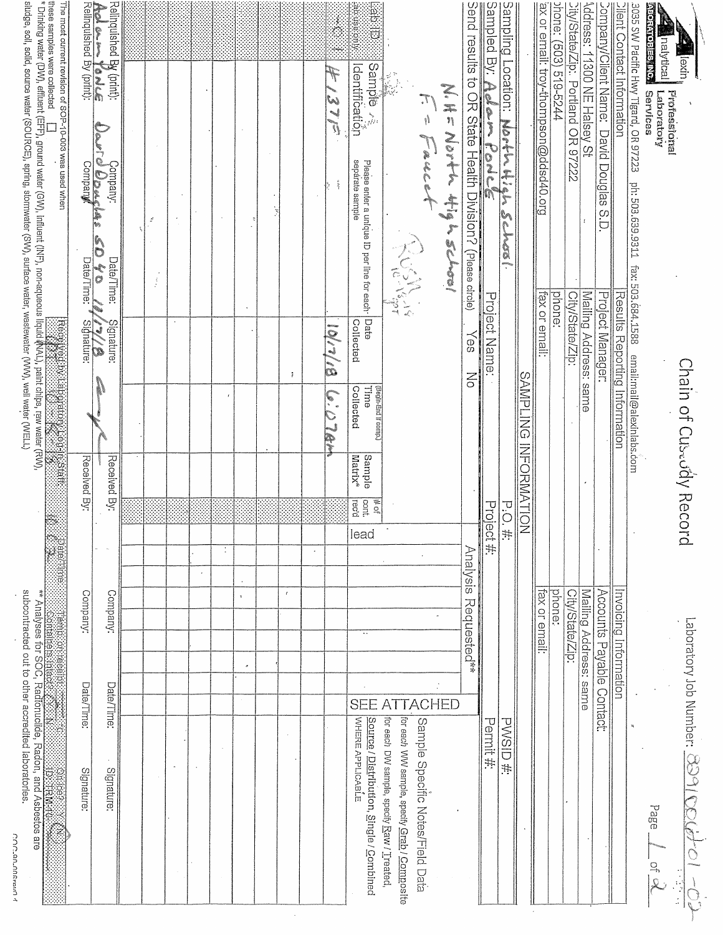| subcontracted out to other accredited laboratories.<br>COC_GO_ORFainO1                     |              |                           |              |                                                         |                                                                              |                                               |                                                 | sludge, soil, solid, source water (SOURCE), spring, stormwater (SW), surface water; wastewater (WW), well water (WEL)                                                 |                                                                                   |               |
|--------------------------------------------------------------------------------------------|--------------|---------------------------|--------------|---------------------------------------------------------|------------------------------------------------------------------------------|-----------------------------------------------|-------------------------------------------------|-----------------------------------------------------------------------------------------------------------------------------------------------------------------------|-----------------------------------------------------------------------------------|---------------|
| Analyses for SOC, Radionuclide, Radon, and Asbestos are<br><b>Distriction</b>              | iegem:       | iri<br>B<br>anian         | Datel        |                                                         | Received by Landship Library and Science                                     |                                               |                                                 | these samples were collected [_]<br>*Drinking water (DW), effluent (EFF), ground water (GW), Influent (INF), non-aqueous liquid (MAL), paint chips, raw water (RW), " | The most current revision of SOP-10-003 was used when                             |               |
| Signature:                                                                                 | Date/Time:   | Company:                  |              | Received By:                                            |                                                                              | Signature:                                    | Date/Time:                                      |                                                                                                                                                                       |                                                                                   |               |
| Signature:                                                                                 | Date/Time:   | Company:                  |              | Received By:                                            |                                                                              | Slgnature:<br>્ર<br>$\widetilde{\mathscr{E}}$ | Date/Time:<br>$\frac{1}{\sigma}$                | Company:<br>Al <b>OD exclus</b>                                                                                                                                       | Relinquished By (print):<br><b>Act &amp; M You'de</b><br>Relinquished By (print): |               |
|                                                                                            |              |                           |              |                                                         |                                                                              |                                               |                                                 |                                                                                                                                                                       |                                                                                   |               |
|                                                                                            |              |                           |              |                                                         |                                                                              |                                               | $\frac{1}{2}$                                   | $\mathcal{L}$                                                                                                                                                         |                                                                                   |               |
|                                                                                            |              |                           |              |                                                         |                                                                              |                                               |                                                 |                                                                                                                                                                       |                                                                                   |               |
|                                                                                            |              |                           |              |                                                         |                                                                              |                                               |                                                 |                                                                                                                                                                       |                                                                                   |               |
|                                                                                            |              |                           |              |                                                         |                                                                              |                                               |                                                 |                                                                                                                                                                       |                                                                                   |               |
|                                                                                            | $\sigma$     | $\ddot{\,}$               |              |                                                         |                                                                              |                                               |                                                 |                                                                                                                                                                       |                                                                                   |               |
|                                                                                            |              |                           |              |                                                         |                                                                              |                                               |                                                 |                                                                                                                                                                       |                                                                                   |               |
|                                                                                            |              | $\epsilon$                |              |                                                         |                                                                              | ÷                                             |                                                 |                                                                                                                                                                       |                                                                                   |               |
|                                                                                            |              |                           |              |                                                         |                                                                              |                                               |                                                 |                                                                                                                                                                       |                                                                                   |               |
|                                                                                            |              |                           |              |                                                         | $\ddot{\bullet}$                                                             |                                               |                                                 |                                                                                                                                                                       | F<br>37E                                                                          |               |
| WHERE APPLICABLE<br>Source / Distribution, Single / Combined                               | SEE          | $\ddotsc$                 | lead         | Sample<br>Matrix <sup>*</sup><br>cont.<br># of<br>rec'd | (Pegin-End If comp.)<br>mme<br>Collected                                     | Collected                                     | Please enter a unique ID per line for each Date | sepárate sample                                                                                                                                                       | Sample ∧≷<br> dentification                                                       | idian<br>Bisi |
| for each DW sample, specify Raw / Treated,<br>for each WW sample, specify Grab / Composite |              |                           |              |                                                         |                                                                              |                                               | NEWS C                                          |                                                                                                                                                                       |                                                                                   |               |
| Sample Specific Notes/Field Data                                                           | <b>ACHED</b> |                           |              |                                                         |                                                                              |                                               |                                                 | $\overline{f} - \overline{g}$ is it is $\overline{f}$                                                                                                                 |                                                                                   |               |
|                                                                                            |              |                           |              |                                                         |                                                                              |                                               |                                                 | N.H= North thigh school                                                                                                                                               |                                                                                   |               |
|                                                                                            |              | Analysis<br>Requested**   |              |                                                         | $\geq$                                                                       | k⊕S                                           |                                                 |                                                                                                                                                                       |                                                                                   |               |
| Permit #:                                                                                  |              |                           | Project #:   |                                                         |                                                                              | Project Name:                                 |                                                 | Sampled By: A Mark Port Cord Construct (Plass circle)<br>Send results to OR State Health Division? (Plass circle)                                                     |                                                                                   |               |
| <b>PWSID#:</b>                                                                             |              |                           | $\ddot{\pm}$ | P.O.                                                    |                                                                              |                                               |                                                 | Mortin High School                                                                                                                                                    | Sampling Location:                                                                |               |
|                                                                                            |              |                           |              |                                                         | SAMPLING INFORMATION                                                         |                                               |                                                 |                                                                                                                                                                       |                                                                                   |               |
|                                                                                            |              | fax or email:             |              |                                                         |                                                                              | fax or email:                                 |                                                 |                                                                                                                                                                       | ax or email: troy-thompson@ddsd40.org                                             |               |
|                                                                                            |              | phone:                    |              |                                                         |                                                                              |                                               | phone:                                          |                                                                                                                                                                       | phane: (503) 519-5244                                                             |               |
|                                                                                            |              | City/State/Zip:           |              |                                                         |                                                                              | City/State/Zip:                               |                                                 |                                                                                                                                                                       | City/State/Zip:. Portland OR 97222                                                |               |
|                                                                                            |              | Mailing Address: same     |              |                                                         |                                                                              | Mailing Address: same                         |                                                 |                                                                                                                                                                       | Address: 1190 NE Halsey St                                                        |               |
|                                                                                            |              | Accounts Payable Contact: |              |                                                         |                                                                              | Project Manager:                              |                                                 | Company/Client Name: David Douglas S.D.                                                                                                                               |                                                                                   |               |
|                                                                                            |              | Invoicing Information     |              |                                                         | fax: 503.684.1588 email:mail@alexinlabs.com<br>Results Reporting Information |                                               |                                                 | ph: 503,639.9311                                                                                                                                                      | Contact Information<br>3035 SW Pacific Hwy Tigard, OR 97223                       |               |
| Page<br>$O+$                                                                               |              |                           |              |                                                         |                                                                              |                                               |                                                 |                                                                                                                                                                       | <b>ABORATOBIES INC.</b><br>Services<br>Laboratory                                 |               |
|                                                                                            |              |                           |              |                                                         | Chain of Cuscudy Record                                                      |                                               |                                                 |                                                                                                                                                                       | <b>Pequality of the United</b><br>llexin<br>Professional                          |               |
| Laboratory Job Number: $\overline{\text{CSD}}$ / $\mathbb{C}$<br>$\sum_{i=1}^{n}$          |              |                           |              |                                                         |                                                                              |                                               |                                                 |                                                                                                                                                                       |                                                                                   |               |

COCLANDARAM 1